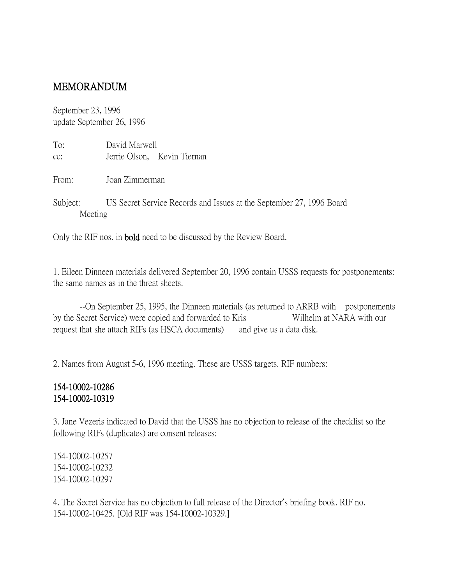## MEMORANDUM

September 23, 1996 update September 26, 1996

| To: | David Marwell |                             |
|-----|---------------|-----------------------------|
| cc: |               | Jerrie Olson, Kevin Tiernan |

From: Joan Zimmerman

Subject: US Secret Service Records and Issues at the September 27, 1996 Board Meeting

Only the RIF nos. in bold need to be discussed by the Review Board.

1. Eileen Dinneen materials delivered September 20, 1996 contain USSS requests for postponements: the same names as in the threat sheets.

--On September 25, 1995, the Dinneen materials (as returned to ARRB with postponements by the Secret Service) were copied and forwarded to Kris Wilhelm at NARA with our request that she attach RIFs (as HSCA documents) and give us a data disk.

2. Names from August 5-6, 1996 meeting. These are USSS targets. RIF numbers:

## 154-10002-10286 154-10002-10319

3. Jane Vezeris indicated to David that the USSS has no objection to release of the checklist so the following RIFs (duplicates) are consent releases:

154-10002-10257 154-10002-10232 154-10002-10297

4. The Secret Service has no objection to full release of the Director's briefing book. RIF no. 154-10002-10425. [Old RIF was 154-10002-10329.]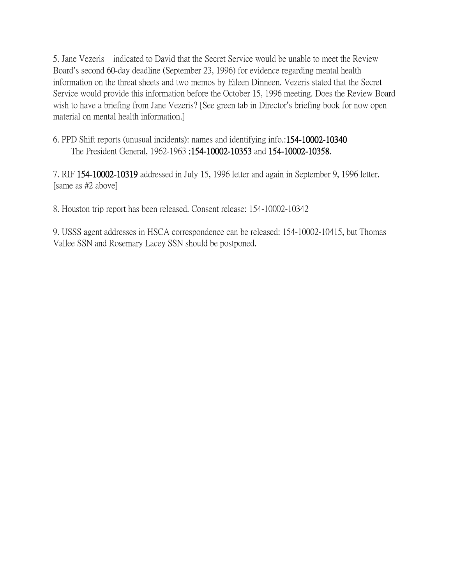5. Jane Vezeris indicated to David that the Secret Service would be unable to meet the Review Board's second 60-day deadline (September 23, 1996) for evidence regarding mental health information on the threat sheets and two memos by Eileen Dinneen. Vezeris stated that the Secret Service would provide this information before the October 15, 1996 meeting. Does the Review Board wish to have a briefing from Jane Vezeris? [See green tab in Director's briefing book for now open material on mental health information.]

6. PPD Shift reports (unusual incidents): names and identifying info.:154-10002-10340 The President General, 1962-1963 :154-10002-10353 and 154-10002-10358.

7. RIF 154-10002-10319 addressed in July 15, 1996 letter and again in September 9, 1996 letter. [same as #2 above]

8. Houston trip report has been released. Consent release: 154-10002-10342

9. USSS agent addresses in HSCA correspondence can be released: 154-10002-10415, but Thomas Vallee SSN and Rosemary Lacey SSN should be postponed.